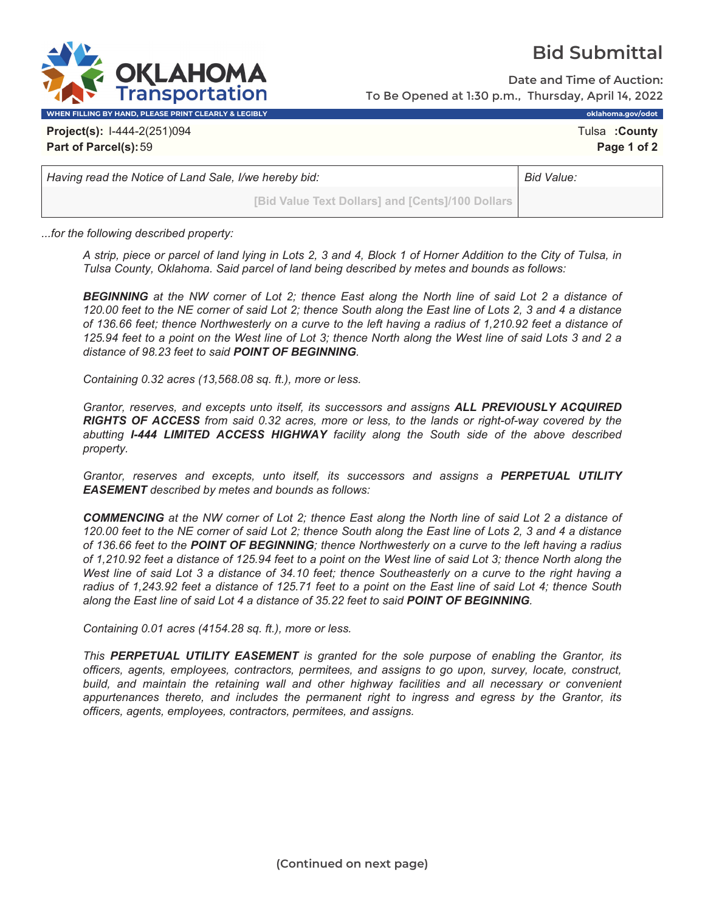

**Date and Time of Auction:** To Be Opened at 1:30 p.m., Thursday, April 14, 2022

**WHEN FILLING BY HAND, PLEASE PRINT CLEARLY & LEGIBLY oklahoma.gov/odot**

**Project(s):** I-444-2(251)094 Tulsa **:County Part of Parcel(s):**59 **Page 1 of 2**

*Having read the Notice of Land Sale, I/we hereby bid:* **Bid Value: Bid Value: Bid Value: Bid Value: Bid Value: Bid Value: Bid Value: Bid Value: Bid Value: Bid Value: Bid Value: Bid Value: Bid Value** 

**(LAHOM Transportation** 

**[Bid Value Text Dollars] and [Cents]/100 Dollars**

*...for the following described property:*

*A strip, piece or parcel of land lying in Lots 2, 3 and 4, Block 1 of Horner Addition to the City of Tulsa, in Tulsa County, Oklahoma. Said parcel of land being described by metes and bounds as follows:* 

*BEGINNING at the NW corner of Lot 2; thence East along the North line of said Lot 2 a distance of 120.00 feet to the NE corner of said Lot 2; thence South along the East line of Lots 2, 3 and 4 a distance of 136.66 feet; thence Northwesterly on a curve to the left having a radius of 1,210.92 feet a distance of 125.94 feet to a point on the West line of Lot 3; thence North along the West line of said Lots 3 and 2 a distance of 98.23 feet to said POINT OF BEGINNING.* 

*Containing 0.32 acres (13,568.08 sq. ft.), more or less.* 

*Grantor, reserves, and excepts unto itself, its successors and assigns ALL PREVIOUSLY ACQUIRED RIGHTS OF ACCESS from said 0.32 acres, more or less, to the lands or right-of-way covered by the abutting I-444 LIMITED ACCESS HIGHWAY facility along the South side of the above described property.* 

*Grantor, reserves and excepts, unto itself, its successors and assigns a PERPETUAL UTILITY EASEMENT described by metes and bounds as follows:* 

*COMMENCING at the NW corner of Lot 2; thence East along the North line of said Lot 2 a distance of 120.00 feet to the NE corner of said Lot 2; thence South along the East line of Lots 2, 3 and 4 a distance of 136.66 feet to the POINT OF BEGINNING; thence Northwesterly on a curve to the left having a radius of 1,210.92 feet a distance of 125.94 feet to a point on the West line of said Lot 3; thence North along the West line of said Lot 3 a distance of 34.10 feet; thence Southeasterly on a curve to the right having a radius of 1,243.92 feet a distance of 125.71 feet to a point on the East line of said Lot 4; thence South along the East line of said Lot 4 a distance of 35.22 feet to said POINT OF BEGINNING.* 

*Containing 0.01 acres (4154.28 sq. ft.), more or less.* 

*This PERPETUAL UTILITY EASEMENT is granted for the sole purpose of enabling the Grantor, its officers, agents, employees, contractors, permitees, and assigns to go upon, survey, locate, construct, build, and maintain the retaining wall and other highway facilities and all necessary or convenient appurtenances thereto, and includes the permanent right to ingress and egress by the Grantor, its officers, agents, employees, contractors, permitees, and assigns.*

## **Bid Submittal**